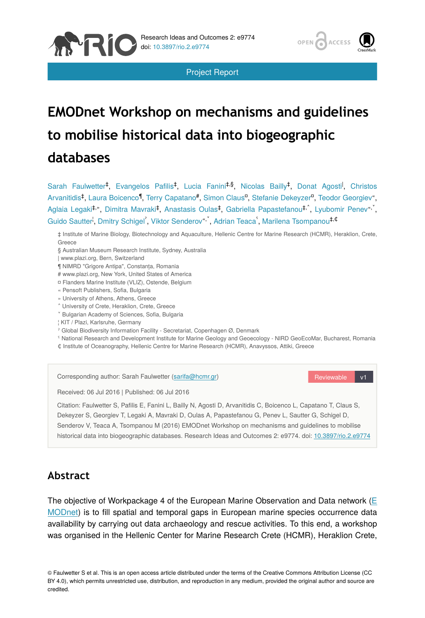

Project Report

# **EMODnet Workshop on mechanisms and guidelines to mobilise historical data into biogeographic databases**

Sarah Faulwetter<sup>‡</sup>, Evangelos Pafilis<sup>‡</sup>, Lucia Fanini<sup>‡,§</sup>, Nicolas Bailly<sup>‡</sup>, Donat Agosti<sup>l</sup>, Christos Arvanitidis<sup>‡</sup>, Laura Boicenco¶, Terry Capatano#, Simon Clausª, Stefanie Dekeyzerª, Teodor Georgiev", Aglaia Legaki‡,", Dimitra Mavraki‡, Anastasis Oulas‡, Gabriella Papastefanou‡,^, Lyubomir Penev",`, Guido Sautter<sup>i</sup>, Dmitry Schigel<sup>'</sup>, Viktor Senderov<sup>«, '</sup>, Adrian Teaca<sup>'</sup>, Marilena Tsompanou<sup>‡,¢</sup>

‡ Institute of Marine Biology, Biotechnology and Aquaculture, Hellenic Centre for Marine Research (HCMR), Heraklion, Crete, Greece

§ Australian Museum Research Institute, Sydney, Australia

| www.plazi.org, Bern, Switzerland

N RI

¶ NIMRD "Grigore Antipa", Constanța, Romania

# www.plazi.org, New York, United States of America

¤ Flanders Marine Institute (VLIZ), Ostende, Belgium

« Pensoft Publishers, Sofia, Bulgaria

» University of Athens, Athens, Greece

˄ University of Crete, Heraklion, Crete, Greece

˅ Bulgarian Academy of Sciences, Sofia, Bulgaria

¦ KIT / Plazi, Karlsruhe, Germany

ˀ Global Biodiversity Information Facility - Secretariat, Copenhagen Ø, Denmark

ˁ National Research and Development Institute for Marine Geology and Geoecology - NIRD GeoEcoMar, Bucharest, Romania

₵ Institute of Oceanography, Hellenic Centre for Marine Research (HCMR), Anavyssos, Attiki, Greece

| Corresponding author: Sarah Faulwetter (sarifa@hcmr.gr)                                                                                                                                                                                                                                                                                                                                                                                       | Reviewable | v1 |
|-----------------------------------------------------------------------------------------------------------------------------------------------------------------------------------------------------------------------------------------------------------------------------------------------------------------------------------------------------------------------------------------------------------------------------------------------|------------|----|
| Received: 06 Jul 2016   Published: 06 Jul 2016                                                                                                                                                                                                                                                                                                                                                                                                |            |    |
| Citation: Faulwetter S, Pafilis E, Fanini L, Bailly N, Agosti D, Arvanitidis C, Boicenco L, Capatano T, Claus S,<br>Dekeyzer S, Georgiev T, Legaki A, Mavraki D, Oulas A, Papastefanou G, Penev L, Sautter G, Schigel D,<br>Senderov V, Teaca A, Tsompanou M (2016) EMODnet Workshop on mechanisms and quidelines to mobilise<br>historical data into biogeographic databases. Research Ideas and Outcomes 2: e9774. doi: 10.3897/rio.2.e9774 |            |    |

## **Abstract**

The objective of Workpackage 4 of the European Marine Observation and Data network [\(E](http://emodnet.eu/) [MODnet\)](http://emodnet.eu/) is to fill spatial and temporal gaps in European marine species occurrence data availability by carrying out data archaeology and rescue activities. To this end, a workshop was organised in the Hellenic Center for Marine Research Crete (HCMR), Heraklion Crete,

© Faulwetter S et al. This is an open access article distributed under the terms of the Creative Commons Attribution License (CC BY 4.0), which permits unrestricted use, distribution, and reproduction in any medium, provided the original author and source are credited.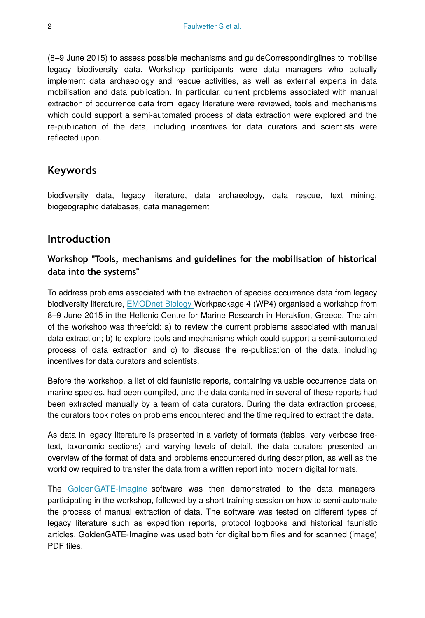(8–9 June 2015) to assess possible mechanisms and guideCorrespondinglines to mobilise legacy biodiversity data. Workshop participants were data managers who actually implement data archaeology and rescue activities, as well as external experts in data mobilisation and data publication. In particular, current problems associated with manual extraction of occurrence data from legacy literature were reviewed, tools and mechanisms which could support a semi-automated process of data extraction were explored and the re-publication of the data, including incentives for data curators and scientists were reflected upon.

## **Keywords**

biodiversity data, legacy literature, data archaeology, data rescue, text mining, biogeographic databases, data management

## **Introduction**

## **Workshop "Tools, mechanisms and guidelines for the mobilisation of historical data into the systems"**

To address problems associated with the extraction of species occurrence data from legacy biodiversity literature, [EMODnet Biology W](http://emodnet-biology.eu/)orkpackage 4 (WP4) organised a workshop from 8–9 June 2015 in the Hellenic Centre for Marine Research in Heraklion, Greece. The aim of the workshop was threefold: a) to review the current problems associated with manual data extraction; b) to explore tools and mechanisms which could support a semi-automated process of data extraction and c) to discuss the re-publication of the data, including incentives for data curators and scientists.

Before the workshop, a list of old faunistic reports, containing valuable occurrence data on marine species, had been compiled, and the data contained in several of these reports had been extracted manually by a team of data curators. During the data extraction process, the curators took notes on problems encountered and the time required to extract the data.

As data in legacy literature is presented in a variety of formats (tables, very verbose freetext, taxonomic sections) and varying levels of detail, the data curators presented an overview of the format of data and problems encountered during description, as well as the workflow required to transfer the data from a written report into modern digital formats.

The [GoldenGATE-Imagine](https://github.com/plazi/GoldenGATE-Imagine) software was then demonstrated to the data managers participating in the workshop, followed by a short training session on how to semi‐automate the process of manual extraction of data. The software was tested on different types of legacy literature such as expedition reports, protocol logbooks and historical faunistic articles. GoldenGATE-Imagine was used both for digital born files and for scanned (image) PDF files.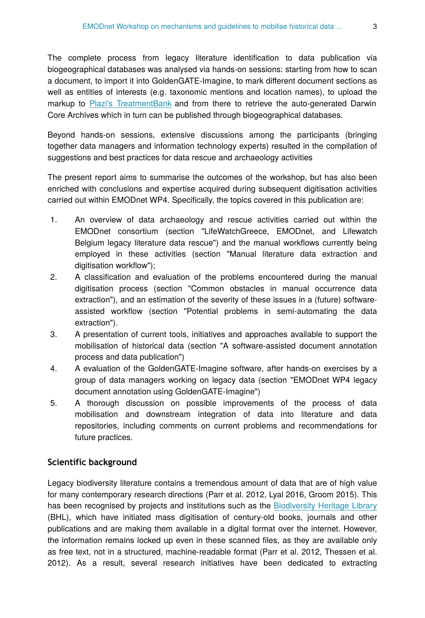The complete process from legacy literature identification to data publication via biogeographical databases was analysed via hands-on sessions: starting from how to scan a document, to import it into GoldenGATE-Imagine, to mark different document sections as well as entities of interests (e.g. taxonomic mentions and location names), to upload the markup to [Plazi's TreatmentBank](http://treatmentbank.org/) and from there to retrieve the auto-generated Darwin Core Archives which in turn can be published through biogeographical databases.

Beyond hands‐on sessions, extensive discussions among the participants (bringing together data managers and information technology experts) resulted in the compilation of suggestions and best practices for data rescue and archaeology activities

The present report aims to summarise the outcomes of the workshop, but has also been enriched with conclusions and expertise acquired during subsequent digitisation activities carried out within EMODnet WP4. Specifically, the topics covered in this publication are:

- 1. An overview of data archaeology and rescue activities carried out within the EMODnet consortium (section "LifeWatchGreece, EMODnet, and Lifewatch Belgium legacy literature data rescue") and the manual workflows currently being employed in these activities (section "Manual literature data extraction and digitisation workflow");
- 2. A classification and evaluation of the problems encountered during the manual digitisation process (section "Common obstacles in manual occurrence data extraction"), and an estimation of the severity of these issues in a (future) softwareassisted workflow (section "Potential problems in semi-automating the data extraction").
- 3. A presentation of current tools, initiatives and approaches available to support the mobilisation of historical data (section "A software-assisted document annotation process and data publication")
- 4. A evaluation of the GoldenGATE-Imagine software, after hands-on exercises by a group of data managers working on legacy data (section "EMODnet WP4 legacy document annotation using GoldenGATE-Imagine")
- 5. A thorough discussion on possible improvements of the process of data mobilisation and downstream integration of data into literature and data repositories, including comments on current problems and recommendations for future practices.

### **Scientific background**

Legacy biodiversity literature contains a tremendous amount of data that are of high value for many contemporary research directions (Parr et al. 2012, Lyal 2016, Groom 2015). This has been recognised by projects and institutions such as the [Biodiversity Heritage Library](http://biodiversitylibrary.org) (BHL), which have initiated mass digitisation of century-old books, journals and other publications and are making them available in a digital format over the internet. However, the information remains locked up even in these scanned files, as they are available only as free text, not in a structured, machine-readable format (Parr et al. 2012, Thessen et al. 2012). As a result, several research initiatives have been dedicated to extracting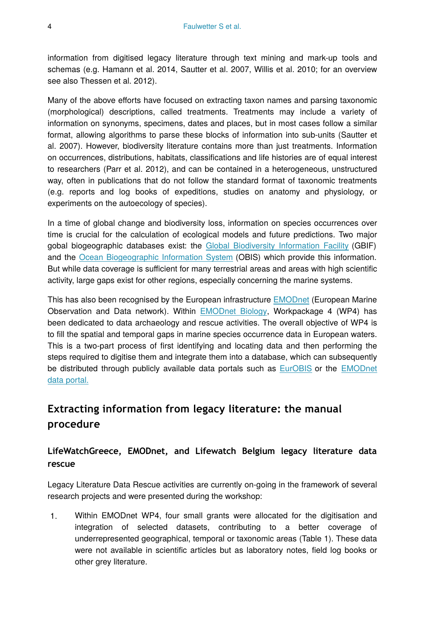information from digitised legacy literature through text mining and mark-up tools and schemas (e.g. Hamann et al. 2014, Sautter et al. 2007, Willis et al. 2010; for an overview see also Thessen et al. 2012).

Many of the above efforts have focused on extracting taxon names and parsing taxonomic (morphological) descriptions, called treatments. Treatments may include a variety of information on synonyms, specimens, dates and places, but in most cases follow a similar format, allowing algorithms to parse these blocks of information into sub-units (Sautter et al. 2007). However, biodiversity literature contains more than just treatments. Information on occurrences, distributions, habitats, classifications and life histories are of equal interest to researchers (Parr et al. 2012), and can be contained in a heterogeneous, unstructured way, often in publications that do not follow the standard format of taxonomic treatments (e.g. reports and log books of expeditions, studies on anatomy and physiology, or experiments on the autoecology of species).

In a time of global change and biodiversity loss, information on species occurrences over time is crucial for the calculation of ecological models and future predictions. Two major gobal biogeographic databases exist: the [Global Biodiversity Information Facility](http://www.gbif.org) (GBIF) and the [Ocean Biogeographic Information System](http://www.iobis.org) (OBIS) which provide this information. But while data coverage is sufficient for many terrestrial areas and areas with high scientific activity, large gaps exist for other regions, especially concerning the marine systems.

This has also been recognised by the European infrastructure [EMODnet](http://emodnet.eu/) (European Marine Observation and Data network). Within [EMODnet Biology](http://emodnet-biology.eu/), Workpackage 4 (WP4) has been dedicated to data archaeology and rescue activities. The overall objective of WP4 is to fill the spatial and temporal gaps in marine species occurrence data in European waters. This is a two-part process of first identifying and locating data and then performing the steps required to digitise them and integrate them into a database, which can subsequently be distributed through publicly available data portals such as [EurOBIS](http://The%20aforementioned%20is%20a%20two-part%20process%20of%20first%20identifying%20and%20locating%20occurrence%20data%20and%20then%20performing%20the%20steps%20required%20to%20incorporate%20them%20into%20a%20digital%20database,%20which%20further%20will%20be%20distributed%20through%20EurOBIS%5B1%5D,%20and%20the%20EMODnet%20data%20portal%5B2%5D.%20%20In%20the%20context%20of%20EMODnet%20WP4,%20many%20old%20faunistic%20reports%20have%20been%20located%20which%20contain%20valuable%20occurrence%20data%20on%20marine%20species.%20The%20extraction%20of%20these%20data%20and%20their%20conversion%20into%20the%20OBIS%20format%5B3%5D%20(a%20Darwin%20Core%5B4%5D%20extension)%20is%20a%20slow%20and%20manual%20process.%20%20During%20the%20HCMR%E2%80%99s%20workshop%20the%20GoldenGATE-Imagine%5B5%5D%20software%20was%20demonstrated%20and%20participating%20data%20managers%20received%20training%20on%20how%20to%20semi%E2%80%90automate%20the%20previously%20mentioned%20tedious%20process.%20%20Different%20types%20of%20legacy%20literature%20were%20explored%20such%20as%20expedition%20results,%20protocol%20logbooks%20and%20more%20biodiversity%20research%20articles.%20GoldenGATE-Imagine%20was%20used%20both%20for%20digital%20born%20files%20and%20for%20scanned%20image%20PDF%20files.%20%20Via%20hands%E2%80%90on%20sessions%20the%20complete%20process%20was%20studied:%20starting%20from%20how%20to%20scan%20a%20document,%20to%20import%20it%20into%20GoldenGATE-Imagine,%20to%20mark%20different%20document%20sections%20as%20well%20as%20entities%20of%20interests%20(e.g.%20taxonomic%20mentions%20and%20location%20names),%20to%20upload%20the%20markup%20in%20the%20PLAZI%20server%5B6%5D%20and%20from%20there%20to%20retrieve%20the%20auto%E2%80%90generated%20Darwin%20Core%20Archives.%20%20Finally,%20in%20addition%20to%20the%20hands%E2%80%90on%20sessions,%20extensive%20discussions%20among%20the%20data%20managers%20and%20the%20information%20technology%20experts%20resulted%20in%20the%20compilation%20reward%E2%80%90via%E2%80%90publication%20suggestions%20and%20best%20practices%20(e.g.%20in%20scanning%20documents)%20to%20the%20assistance%20of%20the%20data%20extraction%20process.%20%20This%20report%20aims%20to%20present%20tools%20and%20state-of-art%20approaches%20in%20mobilizing%20of%20historical%20data,%20a%20hands-on%20evaluation%20of%20these%20tools%20by%20a%20group%20of%20data%20managers,%20a%20discussion%20on%20further%20improvements%20of%20such%20tools%20and%20downstream%20integration%20into%20literature%20and%20data%20repositories.) or the [EMODnet](http://www.emodnet-biology.eu/portal/index.php) [data portal.](http://www.emodnet-biology.eu/portal/index.php)

## **Extracting information from legacy literature: the manual procedure**

## **LifeWatchGreece, EMODnet, and Lifewatch Belgium legacy literature data rescue**

Legacy Literature Data Rescue activities are currently on-going in the framework of several research projects and were presented during the workshop:

1. Within EMODnet WP4, four small grants were allocated for the digitisation and integration of selected datasets, contributing to a better coverage of underrepresented geographical, temporal or taxonomic areas (Table 1). These data were not available in scientific articles but as laboratory notes, field log books or other grey literature.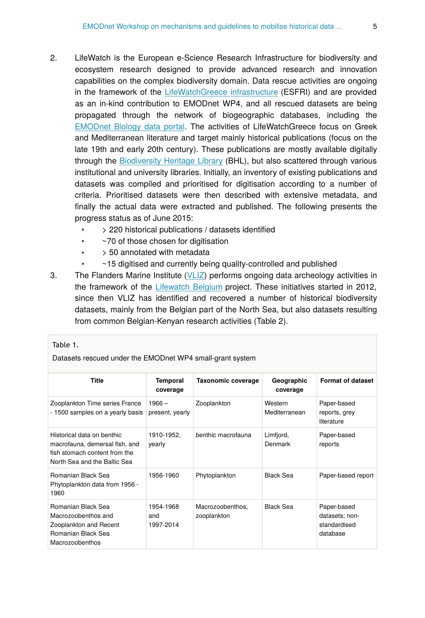- 2. LifeWatch is the European e-Science Research Infrastructure for biodiversity and ecosystem research designed to provide advanced research and innovation capabilities on the complex biodiversity domain. Data rescue activities are ongoing in the framework of the [LifeWatchGreece infrastructure](http://www.lifewatchgreece.eu) (ESFRI) and are provided as an in-kind contribution to EMODnet WP4, and all rescued datasets are being propagated through the network of biogeographic databases, including the [EMODnet Biology data portal](http://www.emodnet-biology.eu/portal/index.php). The activities of LifeWatchGreece focus on Greek and Mediterranean literature and target mainly historical publications (focus on the late 19th and early 20th century). These publications are mostly available digitally through the [Biodiversity Heritage Library](http://biodiversitylibrary.org) (BHL), but also scattered through various institutional and university libraries. Initially, an inventory of existing publications and datasets was compiled and prioritised for digitisation according to a number of criteria. Prioritised datasets were then described with extensive metadata, and finally the actual data were extracted and published. The following presents the progress status as of June 2015:
	- > 220 historical publications / datasets identified
	- ~70 of those chosen for digitisation
	- > 50 annotated with metadata
	- ~15 digitised and currently being quality-controlled and published
- 3. The Flanders Marine Institute ([VLIZ\)](http://vliz.be) performs ongoing data archeology activities in the framework of the [Lifewatch Belgium](http://lifewatch.be) project. These initiatives started in 2012, since then VLIZ has identified and recovered a number of historical biodiversity datasets, mainly from the Belgian part of the North Sea, but also datasets resulting from common Belgian-Kenyan research activities (Table 2).

#### Table 1.

Datasets rescued under the EMODnet WP4 small-grant system

| <b>Title</b>                                                                                                                  | <b>Temporal</b><br>coverage   | Taxonomic coverage              | Geographic<br>coverage   | <b>Format of dataset</b>                                  |
|-------------------------------------------------------------------------------------------------------------------------------|-------------------------------|---------------------------------|--------------------------|-----------------------------------------------------------|
| Zooplankton Time series France<br>- 1500 samples on a yearly basis                                                            | $1966 -$<br>present, yearly   | Zooplankton                     | Western<br>Mediterranean | Paper-based<br>reports, grey<br>literature                |
| Historical data on benthic<br>macrofauna, demersal fish, and<br>fish stomach content from the<br>North Sea and the Baltic Sea | 1910-1952,<br>yearly          | benthic macrofauna              | Limfjord,<br>Denmark     | Paper-based<br>reports                                    |
| Romanian Black Sea<br>Phytoplankton data from 1956 -<br>1960                                                                  | 1956-1960                     | Phytoplankton                   | <b>Black Sea</b>         | Paper-based report                                        |
| Romanian Black Sea<br>Macrozoobenthos and<br>Zooplankton and Recent<br>Romanian Black Sea<br>Macrozoobenthos                  | 1954-1968<br>and<br>1997-2014 | Macrozoobenthos,<br>zooplankton | <b>Black Sea</b>         | Paper-based<br>datasets; non-<br>standardised<br>database |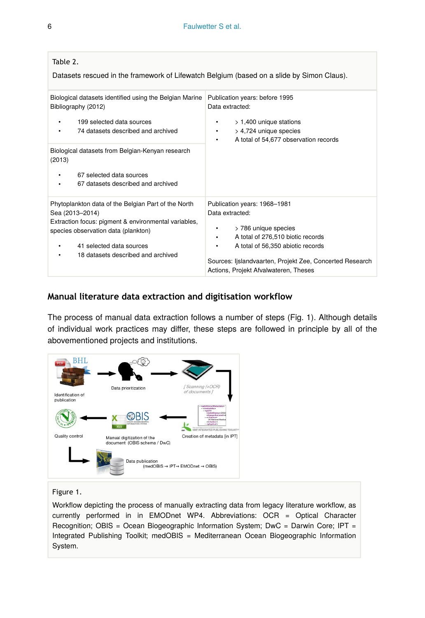| Table 2.<br>Datasets rescued in the framework of Lifewatch Belgium (based on a slide by Simon Claus).                                                                                                                                                                                  |                                                                                                                                                                                                                                                                       |
|----------------------------------------------------------------------------------------------------------------------------------------------------------------------------------------------------------------------------------------------------------------------------------------|-----------------------------------------------------------------------------------------------------------------------------------------------------------------------------------------------------------------------------------------------------------------------|
| Biological datasets identified using the Belgian Marine<br>Bibliography (2012)<br>199 selected data sources<br>74 datasets described and archived<br>Biological datasets from Belgian-Kenyan research<br>(2013)<br>67 selected data sources<br>٠<br>67 datasets described and archived | Publication years: before 1995<br>Data extracted:<br>$> 1,400$ unique stations<br>٠<br>> 4,724 unique species<br>٠<br>A total of 54,677 observation records<br>٠                                                                                                      |
| Phytoplankton data of the Belgian Part of the North<br>Sea (2013-2014)<br>Extraction focus: pigment & environmental variables,<br>species observation data (plankton)<br>41 selected data sources<br>18 datasets described and archived                                                | Publication years: 1968-1981<br>Data extracted:<br>> 786 unique species<br>٠<br>A total of 276,510 biotic records<br>٠<br>A total of 56,350 abiotic records<br>٠<br>Sources: Ijslandvaarten, Projekt Zee, Concerted Research<br>Actions, Projekt Afvalwateren, Theses |

#### **Manual literature data extraction and digitisation workflow**

The process of manual data extraction follows a number of steps (Fig. 1). Although details of individual work practices may differ, these steps are followed in principle by all of the abovementioned projects and institutions.



#### Figure 1.

Workflow depicting the process of manually extracting data from legacy literature workflow, as currently performed in in EMODnet WP4. Abbreviations: OCR = Optical Character Recognition; OBIS = Ocean Biogeographic Information System; DwC = Darwin Core; IPT = Integrated Publishing Toolkit; medOBIS = Mediterranean Ocean Biogeographic Information System.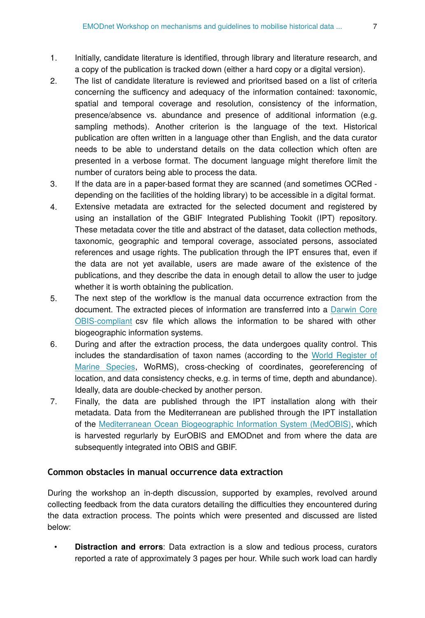- 1. Initially, candidate literature is identified, through library and literature research, and a copy of the publication is tracked down (either a hard copy or a digital version).
- 2. The list of candidate literature is reviewed and prioritsed based on a list of criteria concerning the sufficency and adequacy of the information contained: taxonomic, spatial and temporal coverage and resolution, consistency of the information, presence/absence vs. abundance and presence of additional information (e.g. sampling methods). Another criterion is the language of the text. Historical publication are often written in a language other than English, and the data curator needs to be able to understand details on the data collection which often are presented in a verbose format. The document language might therefore limit the number of curators being able to process the data.
- 3. If the data are in a paper-based format they are scanned (and sometimes OCRed depending on the facilities of the holding library) to be accessible in a digital format.
- 4. Extensive metadata are extracted for the selected document and registered by using an installation of the GBIF Integrated Publishing Tookit (IPT) repository. These metadata cover the title and abstract of the dataset, data collection methods, taxonomic, geographic and temporal coverage, associated persons, associated references and usage rights. The publication through the IPT ensures that, even if the data are not yet available, users are made aware of the existence of the publications, and they describe the data in enough detail to allow the user to judge whether it is worth obtaining the publication.
- 5. The next step of the workflow is the manual data occurrence extraction from the document. The extracted pieces of information are transferred into a [Darwin Core](http://www.iobis.org/data/schema-and-metadata) [OBIS-compliant](http://www.iobis.org/data/schema-and-metadata) csv file which allows the information to be shared with other biogeographic information systems.
- 6. During and after the extraction process, the data undergoes quality control. This includes the standardisation of taxon names (according to the [World Register of](http://marinespecies.org) [Marine Species,](http://marinespecies.org) WoRMS), cross-checking of coordinates, georeferencing of location, and data consistency checks, e.g. in terms of time, depth and abundance). Ideally, data are double-checked by another person.
- 7. Finally, the data are published through the IPT installation along with their metadata. Data from the Mediterranean are published through the IPT installation of the [Mediterranean Ocean Biogeographic Information System \(MedOBIS\),](http://ipt.medobis.eu) which is harvested regurlarly by EurOBIS and EMODnet and from where the data are subsequently integrated into OBIS and GBIF.

### **Common obstacles in manual occurrence data extraction**

During the workshop an in-depth discussion, supported by examples, revolved around collecting feedback from the data curators detailing the difficulties they encountered during the data extraction process. The points which were presented and discussed are listed below:

• **Distraction and errors**: Data extraction is a slow and tedious process, curators reported a rate of approximately 3 pages per hour. While such work load can hardly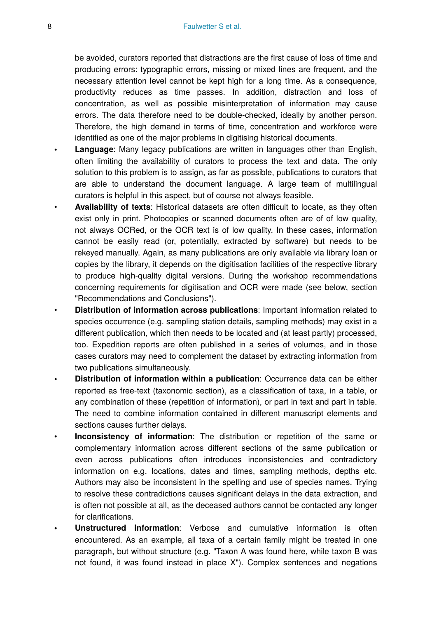be avoided, curators reported that distractions are the first cause of loss of time and producing errors: typographic errors, missing or mixed lines are frequent, and the necessary attention level cannot be kept high for a long time. As a consequence, productivity reduces as time passes. In addition, distraction and loss of concentration, as well as possible misinterpretation of information may cause errors. The data therefore need to be double-checked, ideally by another person. Therefore, the high demand in terms of time, concentration and workforce were identified as one of the major problems in digitising historical documents.

- **Language**: Many legacy publications are written in languages other than English, often limiting the availability of curators to process the text and data. The only solution to this problem is to assign, as far as possible, publications to curators that are able to understand the document language. A large team of multilingual curators is helpful in this aspect, but of course not always feasible.
- **Availability of texts**: Historical datasets are often difficult to locate, as they often exist only in print. Photocopies or scanned documents often are of of low quality, not always OCRed, or the OCR text is of low quality. In these cases, information cannot be easily read (or, potentially, extracted by software) but needs to be rekeyed manually. Again, as many publications are only available via library loan or copies by the library, it depends on the digitisation facilities of the respective library to produce high-quality digital versions. During the workshop recommendations concerning requirements for digitisation and OCR were made (see below, section "Recommendations and Conclusions").
- **Distribution of information across publications**: Important information related to species occurrence (e.g. sampling station details, sampling methods) may exist in a different publication, which then needs to be located and (at least partly) processed, too. Expedition reports are often published in a series of volumes, and in those cases curators may need to complement the dataset by extracting information from two publications simultaneously.
- **Distribution of information within a publication**: Occurrence data can be either reported as free-text (taxonomic section), as a classification of taxa, in a table, or any combination of these (repetition of information), or part in text and part in table. The need to combine information contained in different manuscript elements and sections causes further delays.
- **Inconsistency of information**: The distribution or repetition of the same or complementary information across different sections of the same publication or even across publications often introduces inconsistencies and contradictory information on e.g. locations, dates and times, sampling methods, depths etc. Authors may also be inconsistent in the spelling and use of species names. Trying to resolve these contradictions causes significant delays in the data extraction, and is often not possible at all, as the deceased authors cannot be contacted any longer for clarifications.
- **Unstructured information**: Verbose and cumulative information is often encountered. As an example, all taxa of a certain family might be treated in one paragraph, but without structure (e.g. "Taxon A was found here, while taxon B was not found, it was found instead in place X"). Complex sentences and negations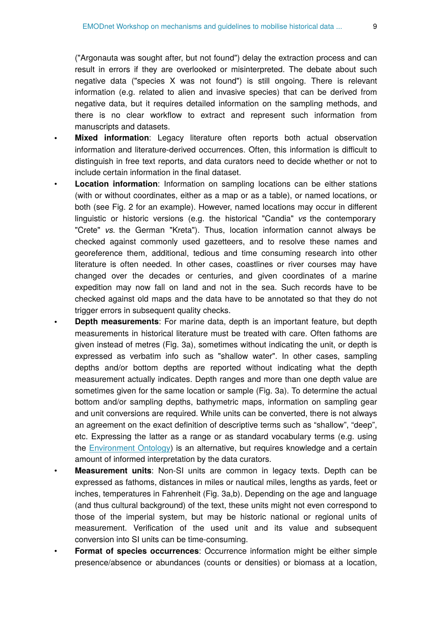("Argonauta was sought after, but not found") delay the extraction process and can result in errors if they are overlooked or misinterpreted. The debate about such negative data ("species X was not found") is still ongoing. There is relevant information (e.g. related to alien and invasive species) that can be derived from negative data, but it requires detailed information on the sampling methods, and there is no clear workflow to extract and represent such information from manuscripts and datasets.

- **Mixed information**: Legacy literature often reports both actual observation information and literature-derived occurrences. Often, this information is difficult to distinguish in free text reports, and data curators need to decide whether or not to include certain information in the final dataset.
- **Location information**: Information on sampling locations can be either stations (with or without coordinates, either as a map or as a table), or named locations, or both (see Fig. 2 for an example). However, named locations may occur in different linguistic or historic versions (e.g. the historical "Candia" *vs* the contemporary "Crete" *vs.* the German "Kreta"). Thus, location information cannot always be checked against commonly used gazetteers, and to resolve these names and georeference them, additional, tedious and time consuming research into other literature is often needed. In other cases, coastlines or river courses may have changed over the decades or centuries, and given coordinates of a marine expedition may now fall on land and not in the sea. Such records have to be checked against old maps and the data have to be annotated so that they do not trigger errors in subsequent quality checks.
- **Depth measurements**: For marine data, depth is an important feature, but depth measurements in historical literature must be treated with care. Often fathoms are given instead of metres (Fig. 3a), sometimes without indicating the unit, or depth is expressed as verbatim info such as "shallow water". In other cases, sampling depths and/or bottom depths are reported without indicating what the depth measurement actually indicates. Depth ranges and more than one depth value are sometimes given for the same location or sample (Fig. 3a). To determine the actual bottom and/or sampling depths, bathymetric maps, information on sampling gear and unit conversions are required. While units can be converted, there is not always an agreement on the exact definition of descriptive terms such as "shallow", "deep", etc. Expressing the latter as a range or as standard vocabulary terms (e.g. using the [Environment Ontology\)](http://www.environmentontology.org/) is an alternative, but requires knowledge and a certain amount of informed interpretation by the data curators.
- **Measurement units**: Non-SI units are common in legacy texts. Depth can be expressed as fathoms, distances in miles or nautical miles, lengths as yards, feet or inches, temperatures in Fahrenheit (Fig. 3a,b). Depending on the age and language (and thus cultural background) of the text, these units might not even correspond to those of the imperial system, but may be historic national or regional units of measurement. Verification of the used unit and its value and subsequent conversion into SI units can be time-consuming.
- **Format of species occurrences**: Occurrence information might be either simple presence/absence or abundances (counts or densities) or biomass at a location,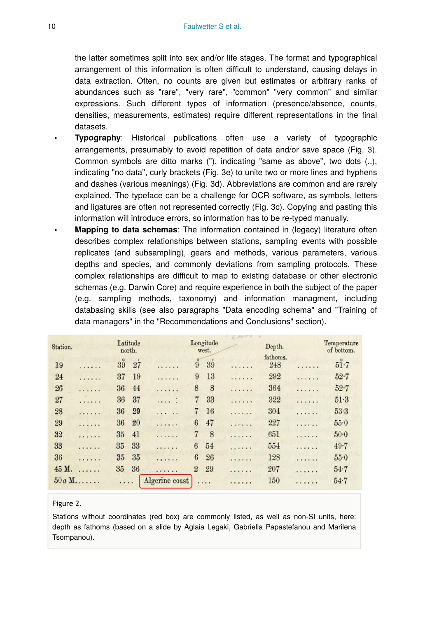the latter sometimes split into sex and/or life stages. The format and typographical arrangement of this information is often difficult to understand, causing delays in data extraction. Often, no counts are given but estimates or arbitrary ranks of abundances such as "rare", "very rare", "common" "very common" and similar expressions. Such different types of information (presence/absence, counts, densities, measurements, estimates) require different representations in the final datasets.

- **Typography**: Historical publications often use a variety of typographic arrangements, presumably to avoid repetition of data and/or save space (Fig. 3). Common symbols are ditto marks ("), indicating "same as above", two dots (..), indicating "no data", curly brackets (Fig. 3e) to unite two or more lines and hyphens and dashes (various meanings) (Fig. 3d). Abbreviations are common and are rarely explained. The typeface can be a challenge for OCR software, as symbols, letters and ligatures are often not represented correctly (Fig. 3c). Copying and pasting this information will introduce errors, so information has to be re-typed manually.
- **Mapping to data schemas**: The information contained in (legacy) literature often describes complex relationships between stations, sampling events with possible replicates (and subsampling), gears and methods, various parameters, various depths and species, and commonly deviations from sampling protocols. These complex relationships are difficult to map to existing database or other electronic schemas (e.g. Darwin Core) and require experience in both the subject of the paper (e.g. sampling methods, taxonomy) and information managment, including databasing skills (see also paragraphs "Data encoding schema" and "Training of data managers" in the "Recommendations and Conclusions" section).

| Station. |         | Latitude<br>north.          |                | Longitude<br>west.            |   | Depth.          |   | Temperature<br>of bottom. |
|----------|---------|-----------------------------|----------------|-------------------------------|---|-----------------|---|---------------------------|
| 19       | .       | $3\overset{\circ}{9}$<br>27 | .              | $\ddot{9}$<br>39 <sup>′</sup> | . | fathoms.<br>248 | . | 51.7                      |
| 24       | .       | 19<br>37                    | .              | 13<br>9                       | . | 292             | . | $52 - 7$                  |
| 26       | .       | 44<br>36                    | .              | 8<br>8                        | . | 364             | . | $52 - 7$                  |
| 27       | .       | 37<br>36                    | $\cdots$       | $\overline{7}$<br>33          | . | 322             | . | 51.3                      |
| 28       | .       | 29<br>36                    | $\cdots$       | 7<br>16                       | . | 304             | . | $53-3$                    |
| 29       | .       | 20<br>36                    | .              | 47<br>6                       | . | 227             | . | 55.0                      |
| 32       | .       | 41<br>35                    | .              | 8<br>7                        | . | 651             | . | $50 - 0$                  |
| 33       | .       | 33<br>35                    | .              | 54<br>6                       | . | 554             | . | 49.7                      |
| 36       | .       | 35<br>35                    | .              | 6<br>26                       | . | 128             | . | 55.0                      |
| 45 M.    | .       | 35<br>36                    | .              | $\overline{2}$<br>29          | . | 207             | . | 54.7                      |
|          | $50a M$ |                             | Algerine coast | .                             | . | 150             | . | 54.7                      |

#### Figure 2.

Stations without coordinates (red box) are commonly listed, as well as non-SI units, here: depth as fathoms (based on a slide by Aglaia Legaki, Gabriella Papastefanou and Marilena Tsompanou).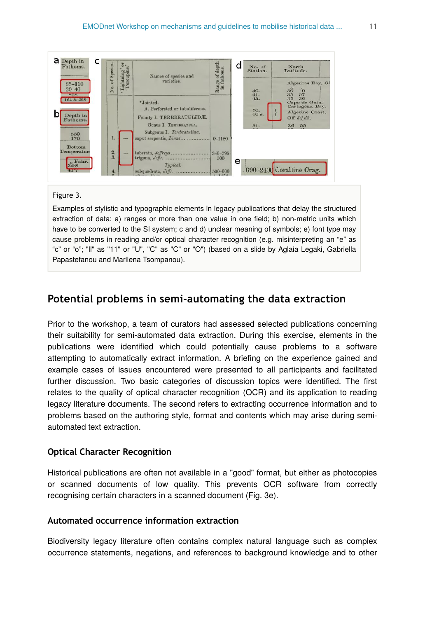

#### Figure 3.

Examples of stylistic and typographic elements in legacy publications that delay the structured extraction of data: a) ranges or more than one value in one field; b) non-metric units which have to be converted to the SI system; c and d) unclear meaning of symbols; e) font type may cause problems in reading and/or optical character recognition (e.g. misinterpreting an "e" as "c" or "o"; "ll" as "11" or "U", "C" as "C" or "O") (based on a slide by Aglaia Legaki, Gabriella Papastefanou and Marilena Tsompanou).

## **Potential problems in semi-automating the data extraction**

Prior to the workshop, a team of curators had assessed selected publications concerning their suitability for semi-automated data extraction. During this exercise, elements in the publications were identified which could potentially cause problems to a software attempting to automatically extract information. A briefing on the experience gained and example cases of issues encountered were presented to all participants and facilitated further discussion. Two basic categories of discussion topics were identified. The first relates to the quality of optical character recognition (OCR) and its application to reading legacy literature documents. The second refers to extracting occurrence information and to problems based on the authoring style, format and contents which may arise during semiautomated text extraction.

#### **Optical Character Recognition**

Historical publications are often not available in a "good" format, but either as photocopies or scanned documents of low quality. This prevents OCR software from correctly recognising certain characters in a scanned document (Fig. 3e).

#### **Automated occurrence information extraction**

Biodiversity legacy literature often contains complex natural language such as complex occurrence statements, negations, and references to background knowledge and to other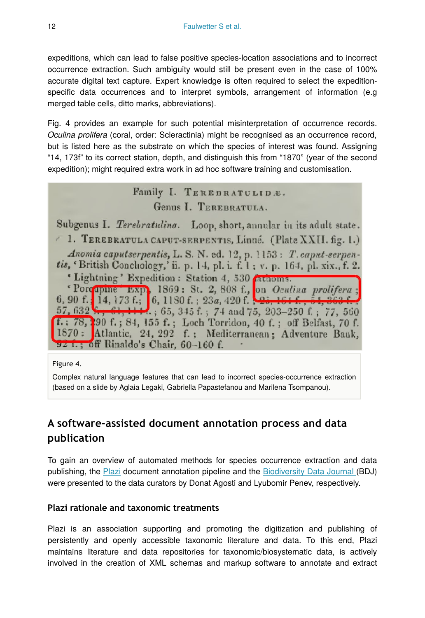expeditions, which can lead to false positive species-location associations and to incorrect occurrence extraction. Such ambiguity would still be present even in the case of 100% accurate digital text capture. Expert knowledge is often required to select the expeditionspecific data occurrences and to interpret symbols, arrangement of information (e.g merged table cells, ditto marks, abbreviations).

Fig. 4 provides an example for such potential misinterpretation of occurrence records. *Oculina prolifera* (coral, order: Scleractinia) might be recognised as an occurrence record, but is listed here as the substrate on which the species of interest was found. Assigning "14, 173f" to its correct station, depth, and distinguish this from "1870" (year of the second expedition); might required extra work in ad hoc software training and customisation.

## Family I. TEREBRATULID.E. Genus I. TEREBRATULA.

Subgenus I. Terebratuling. Loop, short, annular in its adult state. <sup>1</sup> 1. TEREBRATULA CAPUT-SERPENTIS, Linné. (Plate XXII. fig. 1.) Anomia caputserpentis, L. S. N. ed. 12, p. 1153: T. caput-serpentis, 'British Conchology,' ii. p. 14, pl. i. f. 1; v. p. 164, pl. xix., f. 2. ' Lightning' Expedition : Station 4, 530 Authoms. <sup>c</sup> Porcupine Exp. 1869: St. 2, 808 f., on *Oculina prolifera*;<br>6, 90 f.; 14, 173 f.; 6, 1180 f.; 23a, 420 f.; 25, 161 f.; 51, 363 f.; 57, 632 x, 61, 1114, 65, 345 f.; 74 and 75, 203-250 f.; 77, 560 f.; 78, 190 f.; 84, 155 f.; Loch Torridon, 40 f.; off Belfast, 70 f. 1870: Atlantic, 24, 292 f.; Mediterranean; Adventure Bauk, 92 f.; off Rinaldo's Chair, 60-160 f.

Figure 4.

Complex natural language features that can lead to incorrect species-occurrence extraction (based on a slide by Aglaia Legaki, Gabriella Papastefanou and Marilena Tsompanou).

## **A software-assisted document annotation process and data publication**

To gain an overview of automated methods for species occurrence extraction and data publishing, the [Plazi](http://plazi.org/) document annotation pipeline and the [Biodiversity Data Journal](http://biodiversitydatajournal.com/) (BDJ) were presented to the data curators by Donat Agosti and Lyubomir Penev, respectively.

### **Plazi rationale and taxonomic treatments**

Plazi is an association supporting and promoting the digitization and publishing of persistently and openly accessible taxonomic literature and data. To this end, Plazi maintains literature and data repositories for taxonomic/biosystematic data, is actively involved in the creation of XML schemas and markup software to annotate and extract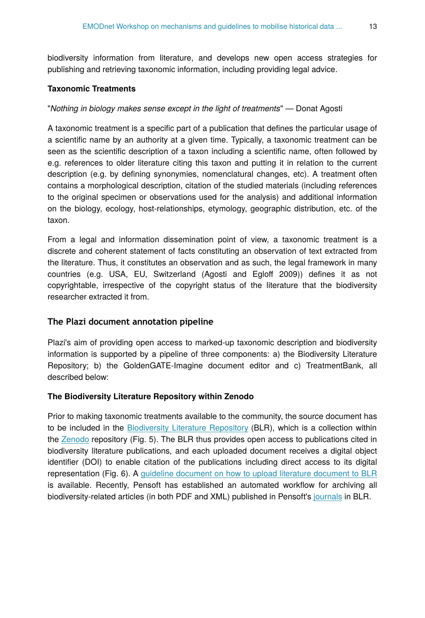biodiversity information from literature, and develops new open access strategies for publishing and retrieving taxonomic information, including providing legal advice.

#### **Taxonomic Treatments**

#### "*Nothing in biology makes sense except in the light of treatments*" — Donat Agosti

A taxonomic treatment is a specific part of a publication that defines the particular usage of a scientific name by an authority at a given time. Typically, a taxonomic treatment can be seen as the scientific description of a taxon including a scientific name, often followed by e.g. references to older literature citing this taxon and putting it in relation to the current description (e.g. by defining synonymies, nomenclatural changes, etc). A treatment often contains a morphological description, citation of the studied materials (including references to the original specimen or observations used for the analysis) and additional information on the biology, ecology, host-relationships, etymology, geographic distribution, etc. of the taxon.

From a legal and information dissemination point of view, a taxonomic treatment is a discrete and coherent statement of facts constituting an observation of text extracted from the literature. Thus, it constitutes an observation and as such, the legal framework in many countries (e.g. USA, EU, Switzerland (Agosti and Egloff 2009)) defines it as not copyrightable, irrespective of the copyright status of the literature that the biodiversity researcher extracted it from.

#### **The Plazi document annotation pipeline**

Plazi's aim of providing open access to marked-up taxonomic description and biodiversity information is supported by a pipeline of three components: a) the Biodiversity Literature Repository; b) the GoldenGATE-Imagine document editor and c) TreatmentBank, all described below:

#### **The Biodiversity Literature Repository within Zenodo**

Prior to making taxonomic treatments available to the community, the source document has to be included in the [Biodiversity Literature Repository](http://biolitrepo.org/) (BLR), which is a collection within the [Zenodo](https://zenodo.org/) repository (Fig. 5). The BLR thus provides open access to publications cited in biodiversity literature publications, and each uploaded document receives a digital object identifier (DOI) to enable citation of the publications including direct access to its digital representation (Fig. 6). A [guideline document on how to upload literature document to BLR](https://drive.google.com/file/d/0B_yrQwn4yBySX3JkTV9RZzZfNUU/view) is available. Recently, Pensoft has established an automated workflow for archiving all biodiversity-related articles (in both PDF and XML) published in Pensoft's [journals](http://journals.pensoft.net) in BLR.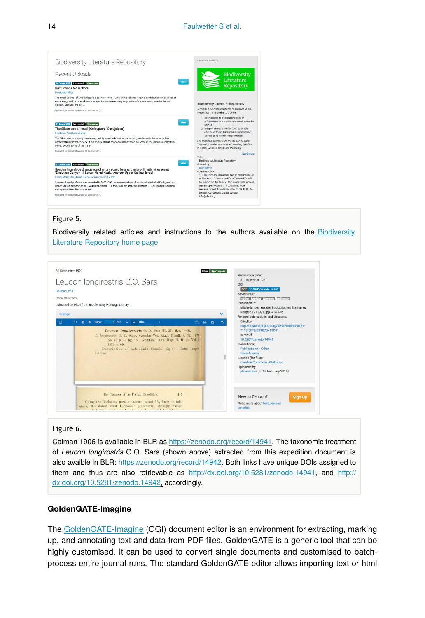

#### Figure 5.

Biodiversity related articles and instructions to the authors available on the [Biodiversity](http://biolitrepo.org) [Literature Repository home page](http://biolitrepo.org).



#### Figure 6.

Calman 1906 is available in BLR as<https://zenodo.org/record/14941>. The taxonomic treatment of *Leucon longirostris* G.O. Sars (shown above) extracted from this expedition document is also avaible in BLR: [https://zenodo.org/record/14942.](https://zenodo.org/record/14942) Both links have unique DOIs assigned to them and thus are also retrievable as <http://dx.doi.org/10.5281/zenodo.14941>, and [http://](http://dx.doi.org/10.5281/zenodo.14942) [dx.doi.org/10.5281/zenodo.14942,](http://dx.doi.org/10.5281/zenodo.14942) accordingly.

#### **GoldenGATE-Imagine**

The [GoldenGATE-Imagine](http://plazi.org/resources/treatmentbank/goldengate-editor/) (GGI) document editor is an environment for extracting, marking up, and annotating text and data from PDF files. GoldenGATE is a generic tool that can be highly customised. It can be used to convert single documents and customised to batchprocess entire journal runs. The standard GoldenGATE editor allows importing text or html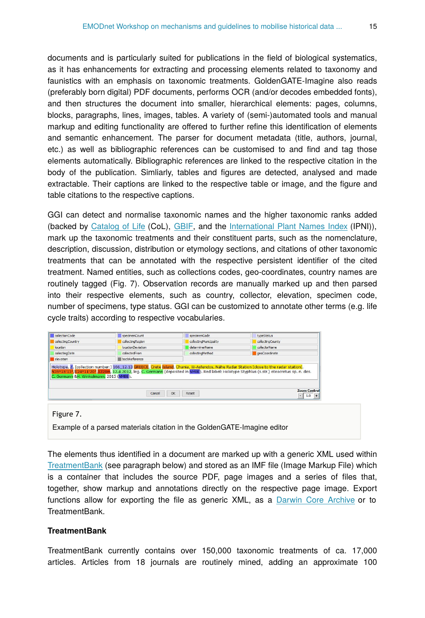documents and is particularly suited for publications in the field of biological systematics, as it has enhancements for extracting and processing elements related to taxonomy and faunistics with an emphasis on taxonomic treatments. GoldenGATE-Imagine also reads (preferably born digital) PDF documents, performs OCR (and/or decodes embedded fonts), and then structures the document into smaller, hierarchical elements: pages, columns, blocks, paragraphs, lines, images, tables. A variety of (semi-)automated tools and manual markup and editing functionality are offered to further refine this identification of elements and semantic enhancement. The parser for document metadata (title, authors, journal, etc.) as well as bibliographic references can be customised to and find and tag those elements automatically. Bibliographic references are linked to the respective citation in the body of the publication. Simliarly, tables and figures are detected, analysed and made extractable. Their captions are linked to the respective table or image, and the figure and table citations to the respective captions.

GGI can detect and normalise taxonomic names and the higher taxonomic ranks added (backed by [Catalog of Life](http://www.catalogueoflife.org) (CoL), [GBIF,](http://www.gbif.org) and the [International Plant Names Index](http://www.ipni.org) (IPNI)), mark up the taxonomic treatments and their constituent parts, such as the nomenclature, description, discussion, distribution or etymology sections, and citations of other taxonomic treatments that can be annotated with the respective persistent identifier of the cited treatment. Named entities, such as collections codes, geo-coordinates, country names are routinely tagged (Fig. 7). Observation records are manually marked up and then parsed into their respective elements, such as country, collector, elevation, specimen code, number of specimens, type status. GGI can be customized to annotate other terms (e.g. life cycle traits) according to respective vocabularies.

| collectionCode    | specimenCount                                                           | specimenCode           | typeStatus                      |
|-------------------|-------------------------------------------------------------------------|------------------------|---------------------------------|
| collectingCountry | collectingRegion                                                        | collectingMunicipality | collectingCounty                |
| location          | <i>locationDeviation</i>                                                | determinerName         | collectorName                   |
| collectingDate    | collectedFrom                                                           | collectingMethod       | geoCoordinate                   |
| elevation         | backReference                                                           |                        |                                 |
|                   | Cancel                                                                  | OK<br>Reset            | <b>Zoom Control</b><br>$-1.0$ + |
| Figure 7.         |                                                                         |                        |                                 |
|                   |                                                                         |                        |                                 |
|                   |                                                                         |                        |                                 |
|                   | Example of a parsed materials citation in the GoldenGATE-Imagine editor |                        |                                 |

The elements thus identified in a document are marked up with a generic XML used within [TreatmentBank](http://treatmentBank.org) (see paragraph below) and stored as an IMF file (Image Markup File) which is a container that includes the source PDF, page images and a series of files that, together, show markup and annotations directly on the respective page image. Export functions allow for exporting the file as generic XML, as a [Darwin Core Archive](http://plazi.org/api-tools/api/#What_is_a_DarwinCore_Archive) or to TreatmentBank.

#### **TreatmentBank**

TreatmentBank currently contains over 150,000 taxonomic treatments of ca. 17,000 articles. Articles from 18 journals are routinely mined, adding an approximate 100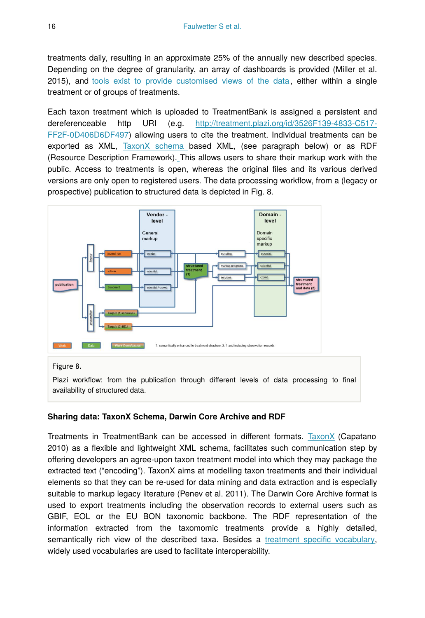treatments daily, resulting in an approximate 25% of the annually new described species. Depending on the degree of granularity, an array of dashboards is provided (Miller et al. 2015), and [tools exist to provide customised views of the data,](http://plazi.org/resources/treatmentbank/visualization/) either within a single treatment or of groups of treatments.

Each taxon treatment which is uploaded to TreatmentBank is assigned a persistent and dereferenceable http URI (e.g. [http://treatment.plazi.org/id/3526F139-4833-C517-](http://http://treatment.plazi.org/id/3526F139-4833-C517-FF2F-0D406D6DF497) [FF2F-0D406D6DF497\)](http://http://treatment.plazi.org/id/3526F139-4833-C517-FF2F-0D406D6DF497) allowing users to cite the treatment. Individual treatments can be exported as XML, [TaxonX schema](http://plazi.org/resources/schemas-and-ontologies/taxonx/) based XML, (see paragraph below) or as RDF (Resource Description Framework)[.](http://plazi.org/wiki/TaxonX_Schema) This allows users to share their markup work with the public. Access to treatments is open, whereas the original files and its various derived versions are only open to registered users. The data processing workflow, from a (legacy or prospective) publication to structured data is depicted in Fig. 8.



#### Figure 8.

Plazi workflow: from the publication through different levels of data processing to final availability of structured data.

#### **Sharing data: TaxonX Schema, Darwin Core Archive and RDF**

Treatments in TreatmentBank can be accessed in different formats. [TaxonX](http://plazi.org/resources/schemas-and-ontologies/taxonx/) (Capatano 2010) as a flexible and lightweight XML schema, facilitates such communication step by offering developers an agree-upon taxon treatment model into which they may package the extracted text ("encoding"). TaxonX aims at modelling taxon treatments and their individual elements so that they can be re-used for data mining and data extraction and is especially suitable to markup legacy literature (Penev et al. 2011). The Darwin Core Archive format is used to export treatments including the observation records to external users such as GBIF, EOL or the EU BON taxonomic backbone. The RDF representation of the information extracted from the taxomomic treatments provide a highly detailed, semantically rich view of the described taxa. Besides a [treatment speci](https://github.com/plazi/TreatmentOntologies)fic vocabulary, widely used vocabularies are used to facilitate interoperability.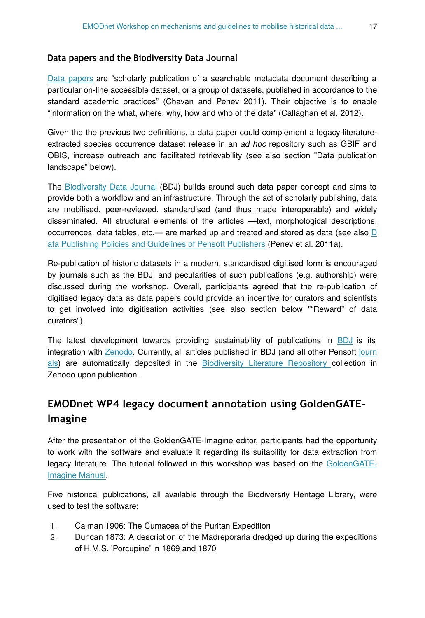#### **Data papers and the Biodiversity Data Journal**

[Data papers](https://en.wikipedia.org/wiki/Data_paper) are "scholarly publication of a searchable metadata document describing a particular on-line accessible dataset, or a group of datasets, published in accordance to the standard academic practices" (Chavan and Penev 2011). Their objective is to enable "information on the what, where, why, how and who of the data" (Callaghan et al. 2012).

Given the the previous two definitions, a data paper could complement a legacy-literatureextracted species occurrence dataset release in an *ad hoc* repository such as GBIF and OBIS, increase outreach and facilitated retrievability (see also section "Data publication landscape" below).

The [Biodiversity Data Journal](http://biodiversitydatajournal.com/) (BDJ) builds around such data paper concept and aims to provide both a workflow and an infrastructure. Through the act of scholarly publishing, data are mobilised, peer-reviewed, standardised (and thus made interoperable) and widely disseminated. All structural elements of the articles —text, morphological descriptions, occurrences, data tables, etc.— are marked up and treated and stored as data (see also  $D$ [ata Publishing Policies and Guidelines of Pensoft Publishers](http://community.gbif.org/mod/file/download.php?file_guid=13043) (Penev et al. 2011a).

Re-publication of historic datasets in a modern, standardised digitised form is encouraged by journals such as the BDJ, and pecularities of such publications (e.g. authorship) were discussed during the workshop. Overall, participants agreed that the re-publication of digitised legacy data as data papers could provide an incentive for curators and scientists to get involved into digitisation activities (see also section below ""Reward" of data curators").

The latest development towards providing sustainability of publications in [BDJ](http://biodiversitydatajournal.com) is its integration with [Zenodo](http://zenodo.org/). Currently, all articles published in BDJ (and all other Pensoft [journ](http://journals.pensoft.net) [als\)](http://journals.pensoft.net) are automatically deposited in the [Biodiversity Literature Repository](http://biolitrepo.org/) collection in Zenodo upon publication.

## **EMODnet WP4 legacy document annotation using GoldenGATE-Imagine**

After the presentation of the GoldenGATE-Imagine editor, participants had the opportunity to work with the software and evaluate it regarding its suitability for data extraction from legacy literature. The tutorial followed in this workshop was based on the [GoldenGATE-](https://docs.google.com/document/d/1mRSK4g0AVS1L4lbTYKH0Sq-7JRX5qEWfPsYGNcWJE6A/edit#)[Imagine Manual](https://docs.google.com/document/d/1mRSK4g0AVS1L4lbTYKH0Sq-7JRX5qEWfPsYGNcWJE6A/edit#).

Five historical publications, all available through the Biodiversity Heritage Library, were used to test the software:

- 1. Calman 1906: The Cumacea of the Puritan Expedition
- 2. Duncan 1873: A description of the Madreporaria dredged up during the expeditions of H.M.S. 'Porcupine' in 1869 and 1870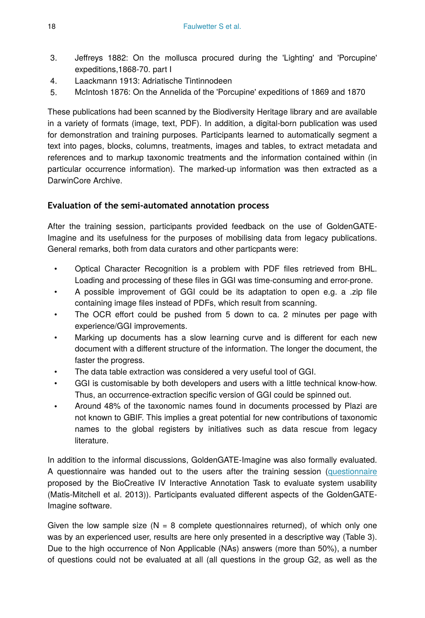- 3. Jeffreys 1882: On the mollusca procured during the 'Lighting' and 'Porcupine' expeditions,1868-70. part I
- 4. Laackmann 1913: Adriatische Tintinnodeen
- 5. McIntosh 1876: On the Annelida of the 'Porcupine' expeditions of 1869 and 1870

These publications had been scanned by the Biodiversity Heritage library and are available in a variety of formats (image, text, PDF). In addition, a digital-born publication was used for demonstration and training purposes. Participants learned to automatically segment a text into pages, blocks, columns, treatments, images and tables, to extract metadata and references and to markup taxonomic treatments and the information contained within (in particular occurrence information). The marked-up information was then extracted as a DarwinCore Archive.

## **Evaluation of the semi-automated annotation process**

After the training session, participants provided feedback on the use of GoldenGATE-Imagine and its usefulness for the purposes of mobilising data from legacy publications. General remarks, both from data curators and other particpants were:

- Optical Character Recognition is a problem with PDF files retrieved from BHL. Loading and processing of these files in GGI was time-consuming and error-prone.
- A possible improvement of GGI could be its adaptation to open e.g. a .zip file containing image files instead of PDFs, which result from scanning.
- The OCR effort could be pushed from 5 down to ca. 2 minutes per page with experience/GGI improvements.
- Marking up documents has a slow learning curve and is different for each new document with a different structure of the information. The longer the document, the faster the progress.
- The data table extraction was considered a very useful tool of GGI.
- GGI is customisable by both developers and users with a little technical know-how. Thus, an occurrence-extraction specific version of GGI could be spinned out.
- Around 48% of the taxonomic names found in documents processed by Plazi are not known to GBIF. This implies a great potential for new contributions of taxonomic names to the global registers by initiatives such as data rescue from legacy literature.

In addition to the informal discussions, GoldenGATE-Imagine was also formally evaluated. A questionnaire was handed out to the users after the training session [\(questionnaire](http://http://ir.cis.udel.edu/biocreative/survey2.html) proposed by the BioCreative IV Interactive Annotation Task to evaluate system usability (Matis-Mitchell et al. 2013)). Participants evaluated different aspects of the GoldenGATE-Imagine software.

Given the low sample size ( $N = 8$  complete questionnaires returned), of which only one was by an experienced user, results are here only presented in a descriptive way (Table 3). Due to the high occurrence of Non Applicable (NAs) answers (more than 50%), a number of questions could not be evaluated at all (all questions in the group G2, as well as the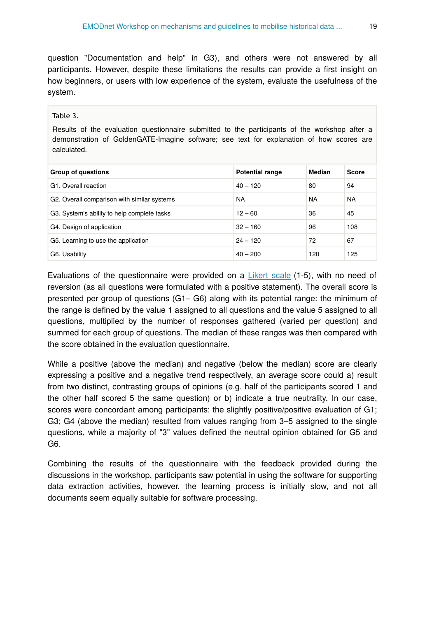question "Documentation and help" in G3), and others were not answered by all participants. However, despite these limitations the results can provide a first insight on how beginners, or users with low experience of the system, evaluate the usefulness of the system.

#### Table 3.

Results of the evaluation questionnaire submitted to the participants of the workshop after a demonstration of GoldenGATE-Imagine software; see text for explanation of how scores are calculated.

| <b>Group of questions</b>                   | <b>Potential range</b> | Median    | <b>Score</b> |
|---------------------------------------------|------------------------|-----------|--------------|
| G1. Overall reaction                        | $40 - 120$             | 80        | 94           |
| G2. Overall comparison with similar systems | <b>NA</b>              | <b>NA</b> | <b>NA</b>    |
| G3. System's ability to help complete tasks | $12 - 60$              | 36        | 45           |
| G4. Design of application                   | $32 - 160$             | 96        | 108          |
| G5. Learning to use the application         | $24 - 120$             | 72        | 67           |
| G6. Usability                               | $40 - 200$             | 120       | 125          |

Evaluations of the questionnaire were provided on a [Likert scale](https://en.wikipedia.org/wiki/Likert_scale)  $(1-5)$ , with no need of reversion (as all questions were formulated with a positive statement). The overall score is presented per group of questions (G1– G6) along with its potential range: the minimum of the range is defined by the value 1 assigned to all questions and the value 5 assigned to all questions, multiplied by the number of responses gathered (varied per question) and summed for each group of questions. The median of these ranges was then compared with the score obtained in the evaluation questionnaire.

While a positive (above the median) and negative (below the median) score are clearly expressing a positive and a negative trend respectively, an average score could a) result from two distinct, contrasting groups of opinions (e.g. half of the participants scored 1 and the other half scored 5 the same question) or b) indicate a true neutrality. In our case, scores were concordant among participants: the slightly positive/positive evaluation of G1; G3; G4 (above the median) resulted from values ranging from 3–5 assigned to the single questions, while a majority of "3" values defined the neutral opinion obtained for G5 and G6.

Combining the results of the questionnaire with the feedback provided during the discussions in the workshop, participants saw potential in using the software for supporting data extraction activities, however, the learning process is initially slow, and not all documents seem equally suitable for software processing.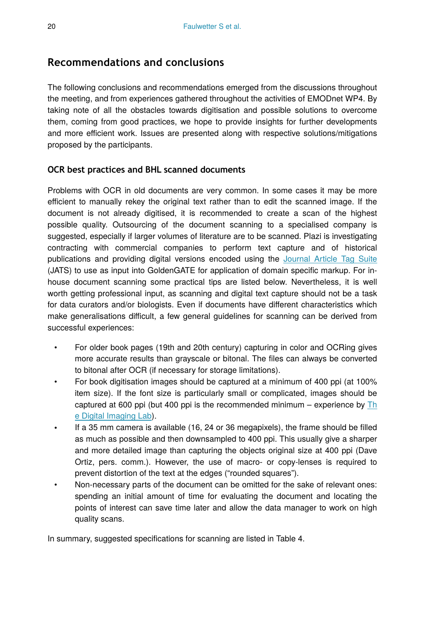## **Recommendations and conclusions**

The following conclusions and recommendations emerged from the discussions throughout the meeting, and from experiences gathered throughout the activities of EMODnet WP4. By taking note of all the obstacles towards digitisation and possible solutions to overcome them, coming from good practices, we hope to provide insights for further developments and more efficient work. Issues are presented along with respective solutions/mitigations proposed by the participants.

### **OCR best practices and BHL scanned documents**

Problems with OCR in old documents are very common. In some cases it may be more efficient to manually rekey the original text rather than to edit the scanned image. If the document is not already digitised, it is recommended to create a scan of the highest possible quality. Outsourcing of the document scanning to a specialised company is suggested, especially if larger volumes of literature are to be scanned. Plazi is investigating contracting with commercial companies to perform text capture and of historical publications and providing digital versions encoded using the [Journal Article Tag Suite](http://dtd.nlm.nih.gov/) (JATS) to use as input into GoldenGATE for application of domain specific markup. For inhouse document scanning some practical tips are listed below. Nevertheless, it is well worth getting professional input, as scanning and digital text capture should not be a task for data curators and/or biologists. Even if documents have different characteristics which make generalisations difficult, a few general guidelines for scanning can be derived from successful experiences:

- For older book pages (19th and 20th century) capturing in color and OCRing gives more accurate results than grayscale or bitonal. The files can always be converted to bitonal after OCR (if necessary for storage limitations).
- For book digitisation images should be captured at a minimum of 400 ppi (at 100% item size). If the font size is particularly small or complicated, images should be captured at 600 ppi (but 400 ppi is the recommended minimum – experience by  $Th$ [e Digital Imaging Lab\)](http://www.frick.org/research/library/conservation/digital).
- If a 35 mm camera is available (16, 24 or 36 megapixels), the frame should be filled as much as possible and then downsampled to 400 ppi. This usually give a sharper and more detailed image than capturing the objects original size at 400 ppi (Dave Ortiz, pers. comm.). However, the use of macro- or copy-lenses is required to prevent distortion of the text at the edges ("rounded squares").
- Non-necessary parts of the document can be omitted for the sake of relevant ones: spending an initial amount of time for evaluating the document and locating the points of interest can save time later and allow the data manager to work on high quality scans.

In summary, suggested specifications for scanning are listed in Table 4.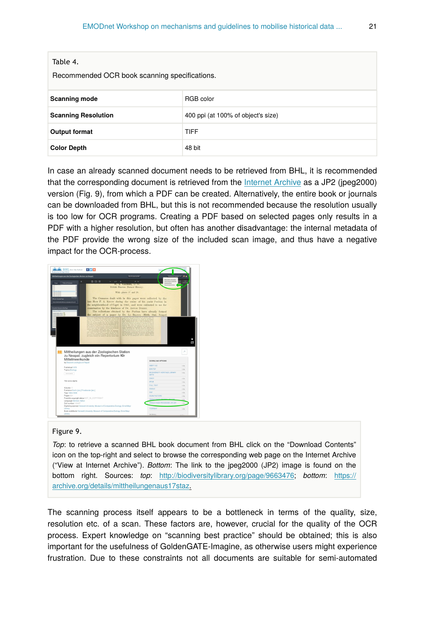| $1a$ <sub>u</sub> c $4.$                      |                                    |  |  |
|-----------------------------------------------|------------------------------------|--|--|
| Recommended OCR book scanning specifications. |                                    |  |  |
| <b>Scanning mode</b>                          | RGB color                          |  |  |
| <b>Scanning Resolution</b>                    | 400 ppi (at 100% of object's size) |  |  |
| <b>Output format</b>                          | <b>TIFF</b>                        |  |  |
| <b>Color Depth</b>                            | 48 bit                             |  |  |

In case an already scanned document needs to be retrieved from BHL, it is recommended that the corresponding document is retrieved from the [Internet Archive](http://archive.org) as a JP2 (jpeg2000) version (Fig. 9), from which a PDF can be created. Alternatively, the entire book or journals can be downloaded from BHL, but this is not recommended because the resolution usually is too low for OCR programs. Creating a PDF based on selected pages only results in a PDF with a higher resolution, but often has another disadvantage: the internal metadata of the PDF provide the wrong size of the included scan image, and thus have a negative impact for the OCR-process.



#### Figure 9.

 $T<sub>2</sub>$ ble 4

*Top*: to retrieve a scanned BHL book document from BHL click on the "Download Contents" icon on the top-right and select to browse the corresponding web page on the Internet Archive ("View at Internet Archive"). *Bottom*: The link to the jpeg2000 (JP2) image is found on the bottom right. Sources: *top*: [http://biodiversitylibrary.org/page/9663476](http://biodiversitylibrary.org/page/9663476#page/431/mode/1up); *bottom*: [https://](https://archive.org/details/mittheilungenaus17staz) [archive.org/details/mittheilungenaus17staz.](https://archive.org/details/mittheilungenaus17staz)

The scanning process itself appears to be a bottleneck in terms of the quality, size, resolution etc. of a scan. These factors are, however, crucial for the quality of the OCR process. Expert knowledge on "scanning best practice" should be obtained; this is also important for the usefulness of GoldenGATE-Imagine, as otherwise users might experience frustration. Due to these constraints not all documents are suitable for semi-automated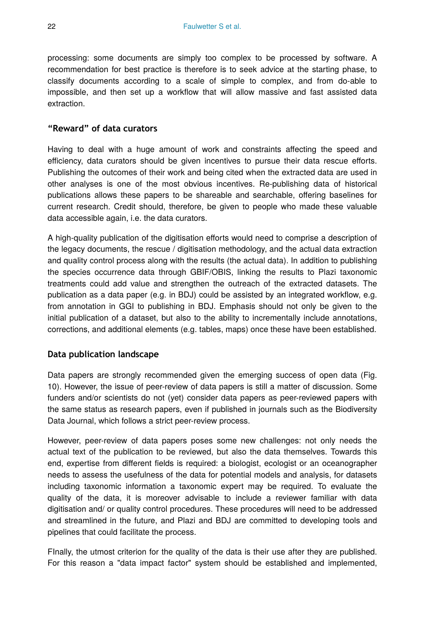processing: some documents are simply too complex to be processed by software. A recommendation for best practice is therefore is to seek advice at the starting phase, to classify documents according to a scale of simple to complex, and from do-able to impossible, and then set up a workflow that will allow massive and fast assisted data extraction.

### **"Reward" of data curators**

Having to deal with a huge amount of work and constraints affecting the speed and efficiency, data curators should be given incentives to pursue their data rescue efforts. Publishing the outcomes of their work and being cited when the extracted data are used in other analyses is one of the most obvious incentives. Re-publishing data of historical publications allows these papers to be shareable and searchable, offering baselines for current research. Credit should, therefore, be given to people who made these valuable data accessible again, i.e. the data curators.

A high-quality publication of the digitisation efforts would need to comprise a description of the legacy documents, the rescue / digitisation methodology, and the actual data extraction and quality control process along with the results (the actual data). In addition to publishing the species occurrence data through GBIF/OBIS, linking the results to Plazi taxonomic treatments could add value and strengthen the outreach of the extracted datasets. The publication as a data paper (e.g. in BDJ) could be assisted by an integrated workflow, e.g. from annotation in GGI to publishing in BDJ. Emphasis should not only be given to the initial publication of a dataset, but also to the ability to incrementally include annotations, corrections, and additional elements (e.g. tables, maps) once these have been established.

### **Data publication landscape**

Data papers are strongly recommended given the emerging success of open data (Fig. 10). However, the issue of peer-review of data papers is still a matter of discussion. Some funders and/or scientists do not (yet) consider data papers as peer-reviewed papers with the same status as research papers, even if published in journals such as the Biodiversity Data Journal, which follows a strict peer-review process.

However, peer-review of data papers poses some new challenges: not only needs the actual text of the publication to be reviewed, but also the data themselves. Towards this end, expertise from different fields is required: a biologist, ecologist or an oceanographer needs to assess the usefulness of the data for potential models and analysis, for datasets including taxonomic information a taxonomic expert may be required. To evaluate the quality of the data, it is moreover advisable to include a reviewer familiar with data digitisation and/ or quality control procedures. These procedures will need to be addressed and streamlined in the future, and Plazi and BDJ are committed to developing tools and pipelines that could facilitate the process.

FInally, the utmost criterion for the quality of the data is their use after they are published. For this reason a "data impact factor" system should be established and implemented,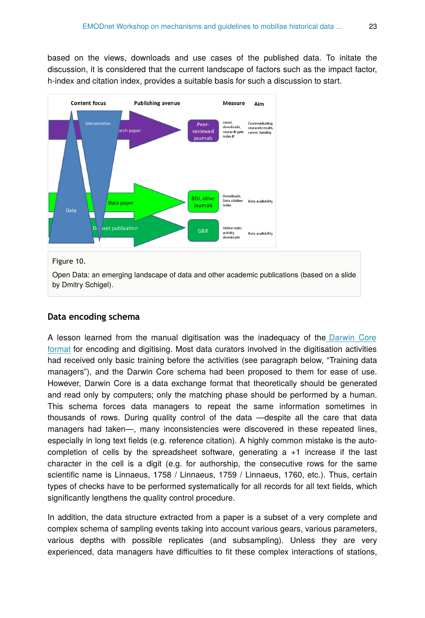based on the views, downloads and use cases of the published data. To initate the discussion, it is considered that the current landscape of factors such as the impact factor, h-index and citation index, provides a suitable basis for such a discussion to start.



#### Figure 10.

Open Data: an emerging landscape of data and other academic publications (based on a slide by Dmitry Schigel).

#### **Data encoding schema**

A lesson learned from the manual digitisation was the inadequacy of the [Darwin Core](http://rs.tdwg.org/dwc/terms/) [format](http://rs.tdwg.org/dwc/terms/) for encoding and digitising. Most data curators involved in the digitisation activities had received only basic training before the activities (see paragraph below, "Training data managers"), and the Darwin Core schema had been proposed to them for ease of use. However, Darwin Core is a data exchange format that theoretically should be generated and read only by computers; only the matching phase should be performed by a human. This schema forces data managers to repeat the same information sometimes in thousands of rows. During quality control of the data —despite all the care that data managers had taken—, many inconsistencies were discovered in these repeated lines, especially in long text fields (e.g. reference citation). A highly common mistake is the autocompletion of cells by the spreadsheet software, generating a +1 increase if the last character in the cell is a digit (e.g. for authorship, the consecutive rows for the same scientific name is Linnaeus, 1758 / Linnaeus, 1759 / Linnaeus, 1760, etc.). Thus, certain types of checks have to be performed systematically for all records for all text fields, which significantly lengthens the quality control procedure.

In addition, the data structure extracted from a paper is a subset of a very complete and complex schema of sampling events taking into account various gears, various parameters, various depths with possible replicates (and subsampling). Unless they are very experienced, data managers have difficulties to fit these complex interactions of stations,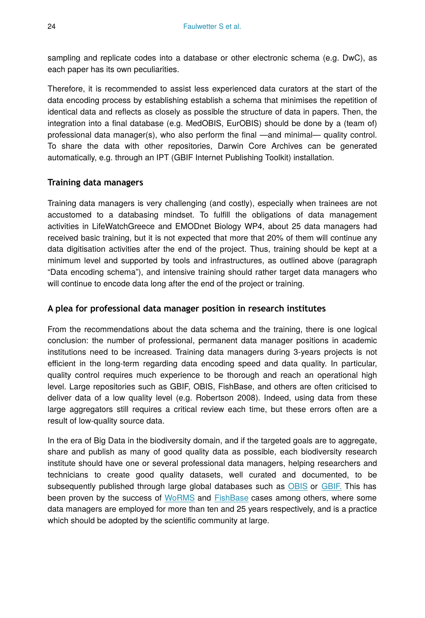sampling and replicate codes into a database or other electronic schema (e.g. DwC), as each paper has its own peculiarities.

Therefore, it is recommended to assist less experienced data curators at the start of the data encoding process by establishing establish a schema that minimises the repetition of identical data and reflects as closely as possible the structure of data in papers. Then, the integration into a final database (e.g. MedOBIS, EurOBIS) should be done by a (team of) professional data manager(s), who also perform the final —and minimal— quality control. To share the data with other repositories, Darwin Core Archives can be generated automatically, e.g. through an IPT (GBIF Internet Publishing Toolkit) installation.

### **Training data managers**

Training data managers is very challenging (and costly), especially when trainees are not accustomed to a databasing mindset. To fulfill the obligations of data management activities in LifeWatchGreece and EMODnet Biology WP4, about 25 data managers had received basic training, but it is not expected that more that 20% of them will continue any data digitisation activities after the end of the project. Thus, training should be kept at a minimum level and supported by tools and infrastructures, as outlined above (paragraph "Data encoding schema"), and intensive training should rather target data managers who will continue to encode data long after the end of the project or training.

### **A plea for professional data manager position in research institutes**

From the recommendations about the data schema and the training, there is one logical conclusion: the number of professional, permanent data manager positions in academic institutions need to be increased. Training data managers during 3-years projects is not efficient in the long-term regarding data encoding speed and data quality. In particular, quality control requires much experience to be thorough and reach an operational high level. Large repositories such as GBIF, OBIS, FishBase, and others are often criticised to deliver data of a low quality level (e.g. Robertson 2008). Indeed, using data from these large aggregators still requires a critical review each time, but these errors often are a result of low-quality source data.

In the era of Big Data in the biodiversity domain, and if the targeted goals are to aggregate, share and publish as many of good quality data as possible, each biodiversity research institute should have one or several professional data managers, helping researchers and technicians to create good quality datasets, well curated and documented, to be subsequently published through large global databases such as [OBIS](http://www.iobis.org) or [GBIF.](http://www.gbif.org) This has been proven by the success of [WoRMS](http://marinespecies.org) and [FishBase](http://fishbase.org) cases among others, where some data managers are employed for more than ten and 25 years respectively, and is a practice which should be adopted by the scientific community at large.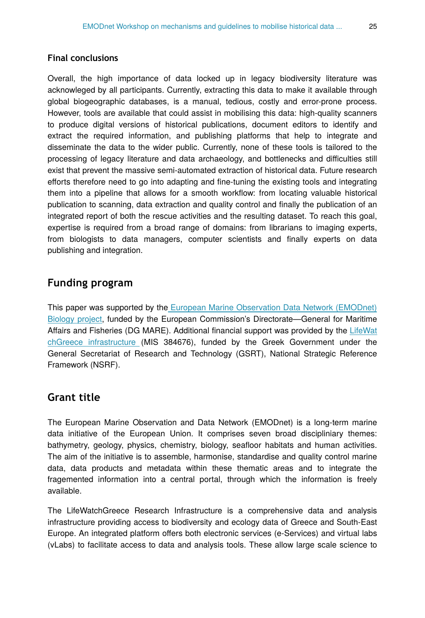#### **Final conclusions**

Overall, the high importance of data locked up in legacy biodiversity literature was acknowleged by all participants. Currently, extracting this data to make it available through global biogeographic databases, is a manual, tedious, costly and error-prone process. However, tools are available that could assist in mobilising this data: high-quality scanners to produce digital versions of historical publications, document editors to identify and extract the required information, and publishing platforms that help to integrate and disseminate the data to the wider public. Currently, none of these tools is tailored to the processing of legacy literature and data archaeology, and bottlenecks and difficulties still exist that prevent the massive semi-automated extraction of historical data. Future research efforts therefore need to go into adapting and fine-tuning the existing tools and integrating them into a pipeline that allows for a smooth workflow: from locating valuable historical publication to scanning, data extraction and quality control and finally the publication of an integrated report of both the rescue activities and the resulting dataset. To reach this goal, expertise is required from a broad range of domains: from librarians to imaging experts, from biologists to data managers, computer scientists and finally experts on data publishing and integration.

## **Funding program**

This paper was supported by th[e European Marine Observation Data Network \(EMODnet\)](http://www.emodnet-biology.eu) [Biology project](http://www.emodnet-biology.eu), funded by the European Commission's Directorate—General for Maritime Affairs and Fisheries (DG MARE). Additional financial support was provided by the [LifeWat](http://www.lifewatchgreece.eu) [chGreece infrastructure](http://www.lifewatchgreece.eu) (MIS 384676), funded by the Greek Government under the General Secretariat of Research and Technology (GSRT), National Strategic Reference Framework (NSRF).

## **Grant title**

The European Marine Observation and Data Network (EMODnet) is a long-term marine data initiative of the European Union. It comprises seven broad discipliniary themes: bathymetry, geology, physics, chemistry, biology, seafloor habitats and human activities. The aim of the initiative is to assemble, harmonise, standardise and quality control marine data, data products and metadata within these thematic areas and to integrate the fragemented information into a central portal, through which the information is freely available.

The LifeWatchGreece Research Infrastructure is a comprehensive data and analysis infrastructure providing access to biodiversity and ecology data of Greece and South-East Europe. An integrated platform offers both electronic services (e-Services) and virtual labs (vLabs) to facilitate access to data and analysis tools. These allow large scale science to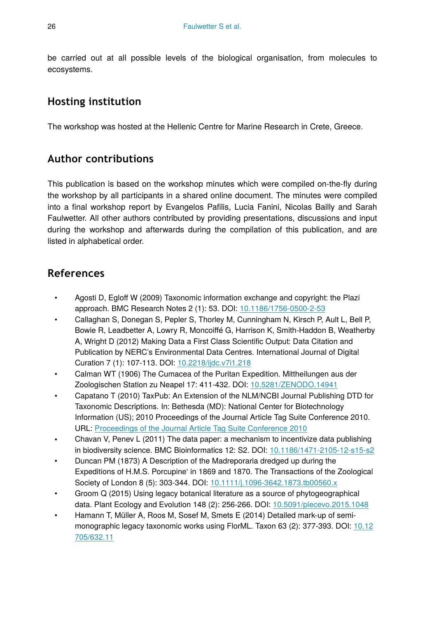be carried out at all possible levels of the biological organisation, from molecules to ecosystems.

## **Hosting institution**

The workshop was hosted at the Hellenic Centre for Marine Research in Crete, Greece.

## **Author contributions**

This publication is based on the workshop minutes which were compiled on-the-fly during the workshop by all participants in a shared online document. The minutes were compiled into a final workshop report by Evangelos Pafilis, Lucia Fanini, Nicolas Bailly and Sarah Faulwetter. All other authors contributed by providing presentations, discussions and input during the workshop and afterwards during the compilation of this publication, and are listed in alphabetical order.

## **References**

- Agosti D, Egloff W (2009) Taxonomic information exchange and copyright: the Plazi approach. BMC Research Notes 2 (1): 53. DOI: [10.1186/1756-0500-2-53](http://dx.doi.org/10.1186/1756-0500-2-53)
- Callaghan S, Donegan S, Pepler S, Thorley M, Cunningham N, Kirsch P, Ault L, Bell P, Bowie R, Leadbetter A, Lowry R, Moncoiffé G, Harrison K, Smith-Haddon B, Weatherby A, Wright D (2012) Making Data a First Class Scientific Output: Data Citation and Publication by NERC's Environmental Data Centres. International Journal of Digital Curation 7 (1): 107‑113. DOI: [10.2218/ijdc.v7i1.218](http://dx.doi.org/10.2218/ijdc.v7i1.218)
- Calman WT (1906) The Cumacea of the Puritan Expedition. Mittheilungen aus der Zoologischen Station zu Neapel 17: 411‑432. DOI: [10.5281/ZENODO.14941](http://dx.doi.org/10.5281/ZENODO.14941)
- Capatano T (2010) TaxPub: An Extension of the NLM/NCBI Journal Publishing DTD for Taxonomic Descriptions. In: Bethesda (MD): National Center for Biotechnology Information (US); 2010 Proceedings of the Journal Article Tag Suite Conference 2010. URL: [Proceedings of the Journal Article Tag Suite Conference 2010](http://Proceedings%20of%20the%20Journal%20Article%20Tag%20Suite%20Conference%202010)
- Chavan V, Penev L (2011) The data paper: a mechanism to incentivize data publishing in biodiversity science. BMC Bioinformatics 12: S2. DOI: [10.1186/1471-2105-12-s15-s2](http://dx.doi.org/10.1186/1471-2105-12-s15-s2)
- Duncan PM (1873) A Description of the Madreporaria dredged up during the Expeditions of H.M.S. Porcupine' in 1869 and 1870. The Transactions of the Zoological Society of London 8 (5): 303-344. DOI: [10.1111/j.1096-3642.1873.tb00560.x](http://dx.doi.org/10.1111/j.1096-3642.1873.tb00560.x)
- Groom Q (2015) Using legacy botanical literature as a source of phytogeographical data. Plant Ecology and Evolution 148 (2): 256‑266. DOI: [10.5091/plecevo.2015.1048](http://dx.doi.org/10.5091/plecevo.2015.1048)
- Hamann T, Müller A, Roos M, Sosef M, Smets E (2014) Detailed mark-up of semimonographic legacy taxonomic works using FlorML. Taxon 63 (2): 377‑393. DOI: [10.12](http://dx.doi.org/10.12705/632.11) [705/632.11](http://dx.doi.org/10.12705/632.11)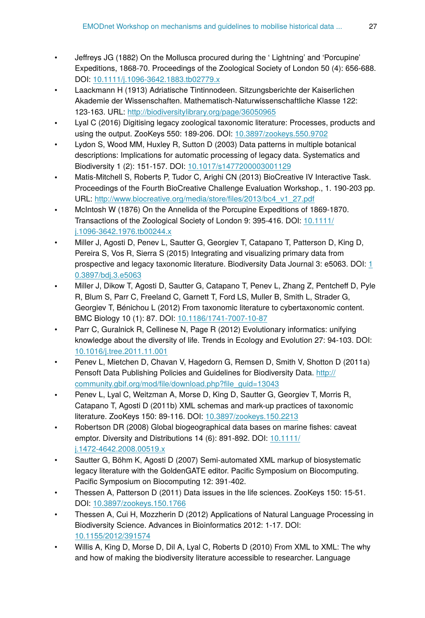- Jeffreys JG (1882) On the Mollusca procured during the ' Lightning' and 'Porcupine' Expeditions, 1868-70. Proceedings of the Zoological Society of London 50 (4): 656‑688. DOI: [10.1111/j.1096-3642.1883.tb02779.x](http://dx.doi.org/10.1111/j.1096-3642.1883.tb02779.x)
- Laackmann H (1913) Adriatische Tintinnodeen. Sitzungsberichte der Kaiserlichen Akademie der Wissenschaften. Mathematisch-Naturwissenschaftliche Klasse 122: 123‑163. URL:<http://biodiversitylibrary.org/page/36050965>
- Lyal C (2016) Digitising legacy zoological taxonomic literature: Processes, products and using the output. ZooKeys 550: 189‑206. DOI: [10.3897/zookeys.550.9702](http://dx.doi.org/10.3897/zookeys.550.9702)
- Lydon S, Wood MM, Huxley R, Sutton D (2003) Data patterns in multiple botanical descriptions: Implications for automatic processing of legacy data. Systematics and Biodiversity 1 (2): 151‑157. DOI: [10.1017/s1477200003001129](http://dx.doi.org/10.1017/s1477200003001129)
- Matis-Mitchell S, Roberts P, Tudor C, Arighi CN (2013) BioCreative IV Interactive Task. Proceedings of the Fourth BioCreative Challenge Evaluation Workshop., 1. 190-203 pp. URL: [http://www.biocreative.org/media/store/](http://www.biocreative.org/media/store/files/2013/bc4_v1_27.pdf)files/2013/bc4\_v1\_27.pdf
- McIntosh W (1876) On the Annelida of the Porcupine Expeditions of 1869-1870. Transactions of the Zoological Society of London 9: 395‑416. DOI: [10.1111/](http://dx.doi.org/10.1111/j.1096-3642.1976.tb00244.x) [j.1096-3642.1976.tb00244.x](http://dx.doi.org/10.1111/j.1096-3642.1976.tb00244.x)
- Miller J, Agosti D, Penev L, Sautter G, Georgiev T, Catapano T, Patterson D, King D, Pereira S, Vos R, Sierra S (2015) Integrating and visualizing primary data from prospective and legacy taxonomic literature. Biodiversity Data Journal 3: e5063. DOI: [1](http://dx.doi.org/10.3897/bdj.3.e5063) [0.3897/bdj.3.e5063](http://dx.doi.org/10.3897/bdj.3.e5063)
- Miller J, Dikow T, Agosti D, Sautter G, Catapano T, Penev L, Zhang Z, Pentcheff D, Pyle R, Blum S, Parr C, Freeland C, Garnett T, Ford LS, Muller B, Smith L, Strader G, Georgiev T, Bénichou L (2012) From taxonomic literature to cybertaxonomic content. BMC Biology 10 (1): 87. DOI: [10.1186/1741-7007-10-87](http://dx.doi.org/10.1186/1741-7007-10-87)
- Parr C, Guralnick R, Cellinese N, Page R (2012) Evolutionary informatics: unifying knowledge about the diversity of life. Trends in Ecology and Evolution 27: 94-103. DOI: [10.1016/j.tree.2011.11.001](http://dx.doi.org/10.1016/j.tree.2011.11.001)
- Penev L, Mietchen D, Chavan V, Hagedorn G, Remsen D, Smith V, Shotton D (2011a) Pensoft Data Publishing Policies and Guidelines for Biodiversity Data. [http://](http://community.gbif.org/mod/file/download.php?file_guid=13043) [community.gbif.org/mod/](http://community.gbif.org/mod/file/download.php?file_guid=13043)file/download.php?file\_guid=13043
- Penev L, Lyal C, Weitzman A, Morse D, King D, Sautter G, Georgiev T, Morris R, Catapano T, Agosti D (2011b) XML schemas and mark-up practices of taxonomic literature. ZooKeys 150: 89-116. DOI: [10.3897/zookeys.150.2213](http://dx.doi.org/10.3897/zookeys.150.2213)
- Robertson DR (2008) Global biogeographical data bases on marine fishes: caveat emptor. Diversity and Distributions 14 (6): 891-892. DOI: [10.1111/](http://dx.doi.org/10.1111/j.1472-4642.2008.00519.x) [j.1472-4642.2008.00519.x](http://dx.doi.org/10.1111/j.1472-4642.2008.00519.x)
- Sautter G, Böhm K, Agosti D (2007) Semi-automated XML markup of biosystematic legacy literature with the GoldenGATE editor. Pacific Symposium on Biocomputing. Pacific Symposium on Biocomputing 12: 391‑402.
- Thessen A, Patterson D (2011) Data issues in the life sciences. ZooKeys 150: 15-51. DOI: [10.3897/zookeys.150.1766](http://dx.doi.org/10.3897/zookeys.150.1766)
- Thessen A, Cui H, Mozzherin D (2012) Applications of Natural Language Processing in Biodiversity Science. Advances in Bioinformatics 2012: 1‑17. DOI: [10.1155/2012/391574](http://dx.doi.org/10.1155/2012/391574)
- Willis A, King D, Morse D, Dil A, Lyal C, Roberts D (2010) From XML to XML: The why and how of making the biodiversity literature accessible to researcher. Language